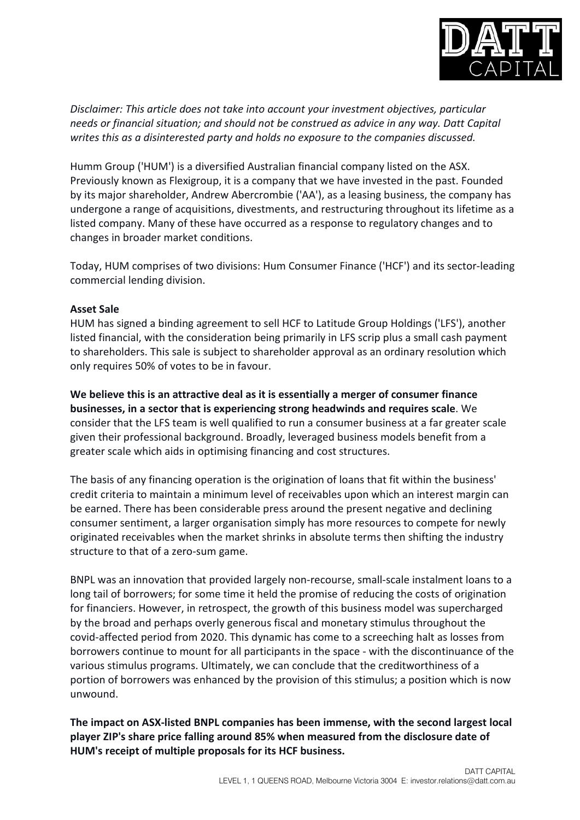

*Disclaimer: This article does not take into account your investment objectives, particular needs or financial situation; and should not be construed as advice in any way. Datt Capital writes this as a disinterested party and holds no exposure to the companies discussed.*

Humm Group ('HUM') is a diversified Australian financial company listed on the ASX. Previously known as Flexigroup, it is a company that we have invested in the past. Founded by its major shareholder, Andrew Abercrombie ('AA'), as a leasing business, the company has undergone a range of acquisitions, divestments, and restructuring throughout its lifetime as a listed company. Many of these have occurred as a response to regulatory changes and to changes in broader market conditions.

Today, HUM comprises of two divisions: Hum Consumer Finance ('HCF') and its sector-leading commercial lending division.

## **Asset Sale**

HUM has signed a binding agreement to sell HCF to Latitude Group Holdings ('LFS'), another listed financial, with the consideration being primarily in LFS scrip plus a small cash payment to shareholders. This sale is subject to shareholder approval as an ordinary resolution which only requires 50% of votes to be in favour.

**We believe this is an attractive deal as it is essentially a merger of consumer finance businesses, in a sector that is experiencing strong headwinds and requires scale**. We consider that the LFS team is well qualified to run a consumer business at a far greater scale given their professional background. Broadly, leveraged business models benefit from a greater scale which aids in optimising financing and cost structures.

The basis of any financing operation is the origination of loans that fit within the business' credit criteria to maintain a minimum level of receivables upon which an interest margin can be earned. There has been considerable press around the present negative and declining consumer sentiment, a larger organisation simply has more resources to compete for newly originated receivables when the market shrinks in absolute terms then shifting the industry structure to that of a zero-sum game.

BNPL was an innovation that provided largely non-recourse, small-scale instalment loans to a long tail of borrowers; for some time it held the promise of reducing the costs of origination for financiers. However, in retrospect, the growth of this business model was supercharged by the broad and perhaps overly generous fiscal and monetary stimulus throughout the covid-affected period from 2020. This dynamic has come to a screeching halt as losses from borrowers continue to mount for all participants in the space - with the discontinuance of the various stimulus programs. Ultimately, we can conclude that the creditworthiness of a portion of borrowers was enhanced by the provision of this stimulus; a position which is now unwound.

**The impact on ASX-listed BNPL companies has been immense, with the second largest local player ZIP's share price falling around 85% when measured from the disclosure date of HUM's receipt of multiple proposals for its HCF business.**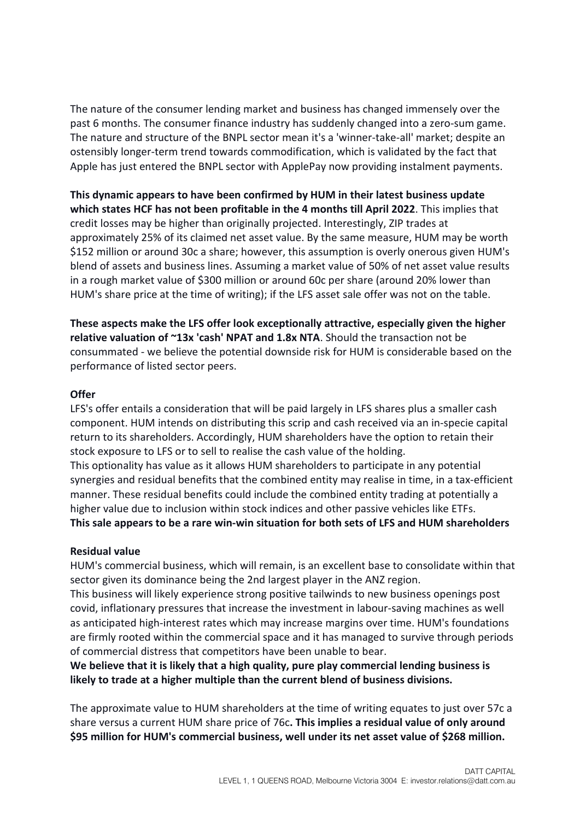The nature of the consumer lending market and business has changed immensely over the past 6 months. The consumer finance industry has suddenly changed into a zero-sum game. The nature and structure of the BNPL sector mean it's a 'winner-take-all' market; despite an ostensibly longer-term trend towards commodification, which is validated by the fact that Apple has just entered the BNPL sector with ApplePay now providing instalment payments.

**This dynamic appears to have been confirmed by HUM in their latest business update which states HCF has not been profitable in the 4 months till April 2022**. This implies that credit losses may be higher than originally projected. Interestingly, ZIP trades at approximately 25% of its claimed net asset value. By the same measure, HUM may be worth \$152 million or around 30c a share; however, this assumption is overly onerous given HUM's blend of assets and business lines. Assuming a market value of 50% of net asset value results in a rough market value of \$300 million or around 60c per share (around 20% lower than HUM's share price at the time of writing); if the LFS asset sale offer was not on the table.

**These aspects make the LFS offer look exceptionally attractive, especially given the higher relative valuation of ~13x 'cash' NPAT and 1.8x NTA**. Should the transaction not be consummated - we believe the potential downside risk for HUM is considerable based on the performance of listed sector peers.

### **Offer**

LFS's offer entails a consideration that will be paid largely in LFS shares plus a smaller cash component. HUM intends on distributing this scrip and cash received via an in-specie capital return to its shareholders. Accordingly, HUM shareholders have the option to retain their stock exposure to LFS or to sell to realise the cash value of the holding. This optionality has value as it allows HUM shareholders to participate in any potential

synergies and residual benefits that the combined entity may realise in time, in a tax-efficient manner. These residual benefits could include the combined entity trading at potentially a higher value due to inclusion within stock indices and other passive vehicles like ETFs. **This sale appears to be a rare win-win situation for both sets of LFS and HUM shareholders**

# **Residual value**

HUM's commercial business, which will remain, is an excellent base to consolidate within that sector given its dominance being the 2nd largest player in the ANZ region.

This business will likely experience strong positive tailwinds to new business openings post covid, inflationary pressures that increase the investment in labour-saving machines as well as anticipated high-interest rates which may increase margins over time. HUM's foundations are firmly rooted within the commercial space and it has managed to survive through periods of commercial distress that competitors have been unable to bear.

**We believe that it is likely that a high quality, pure play commercial lending business is likely to trade at a higher multiple than the current blend of business divisions.**

The approximate value to HUM shareholders at the time of writing equates to just over 57c a share versus a current HUM share price of 76c**. This implies a residual value of only around \$95 million for HUM's commercial business, well under its net asset value of \$268 million.**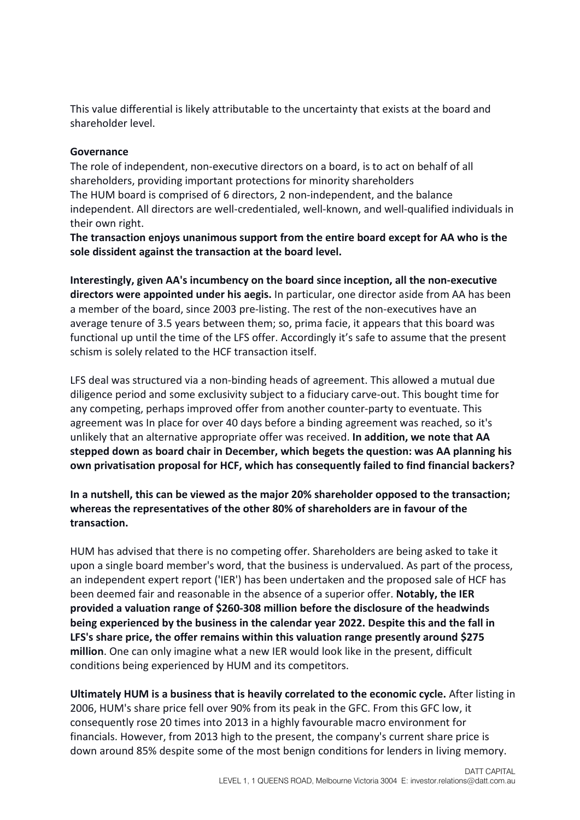This value differential is likely attributable to the uncertainty that exists at the board and shareholder level.

## **Governance**

The role of independent, non-executive directors on a board, is to act on behalf of all shareholders, providing important protections for minority shareholders The HUM board is comprised of 6 directors, 2 non-independent, and the balance independent. All directors are well-credentialed, well-known, and well-qualified individuals in their own right.

**The transaction enjoys unanimous support from the entire board except for AA who is the sole dissident against the transaction at the board level.**

**Interestingly, given AA's incumbency on the board since inception, all the non-executive directors were appointed under his aegis.** In particular, one director aside from AA has been a member of the board, since 2003 pre-listing. The rest of the non-executives have an average tenure of 3.5 years between them; so, prima facie, it appears that this board was functional up until the time of the LFS offer. Accordingly it's safe to assume that the present schism is solely related to the HCF transaction itself.

LFS deal was structured via a non-binding heads of agreement. This allowed a mutual due diligence period and some exclusivity subject to a fiduciary carve-out. This bought time for any competing, perhaps improved offer from another counter-party to eventuate. This agreement was In place for over 40 days before a binding agreement was reached, so it's unlikely that an alternative appropriate offer was received. **In addition, we note that AA stepped down as board chair in December, which begets the question: was AA planning his own privatisation proposal for HCF, which has consequently failed to find financial backers?**

**In a nutshell, this can be viewed as the major 20% shareholder opposed to the transaction; whereas the representatives of the other 80% of shareholders are in favour of the transaction.**

HUM has advised that there is no competing offer. Shareholders are being asked to take it upon a single board member's word, that the business is undervalued. As part of the process, an independent expert report ('IER') has been undertaken and the proposed sale of HCF has been deemed fair and reasonable in the absence of a superior offer. **Notably, the IER provided a valuation range of \$260-308 million before the disclosure of the headwinds being experienced by the business in the calendar year 2022. Despite this and the fall in LFS's share price, the offer remains within this valuation range presently around \$275 million**. One can only imagine what a new IER would look like in the present, difficult conditions being experienced by HUM and its competitors.

**Ultimately HUM is a business that is heavily correlated to the economic cycle.** After listing in 2006, HUM's share price fell over 90% from its peak in the GFC. From this GFC low, it consequently rose 20 times into 2013 in a highly favourable macro environment for financials. However, from 2013 high to the present, the company's current share price is down around 85% despite some of the most benign conditions for lenders in living memory.